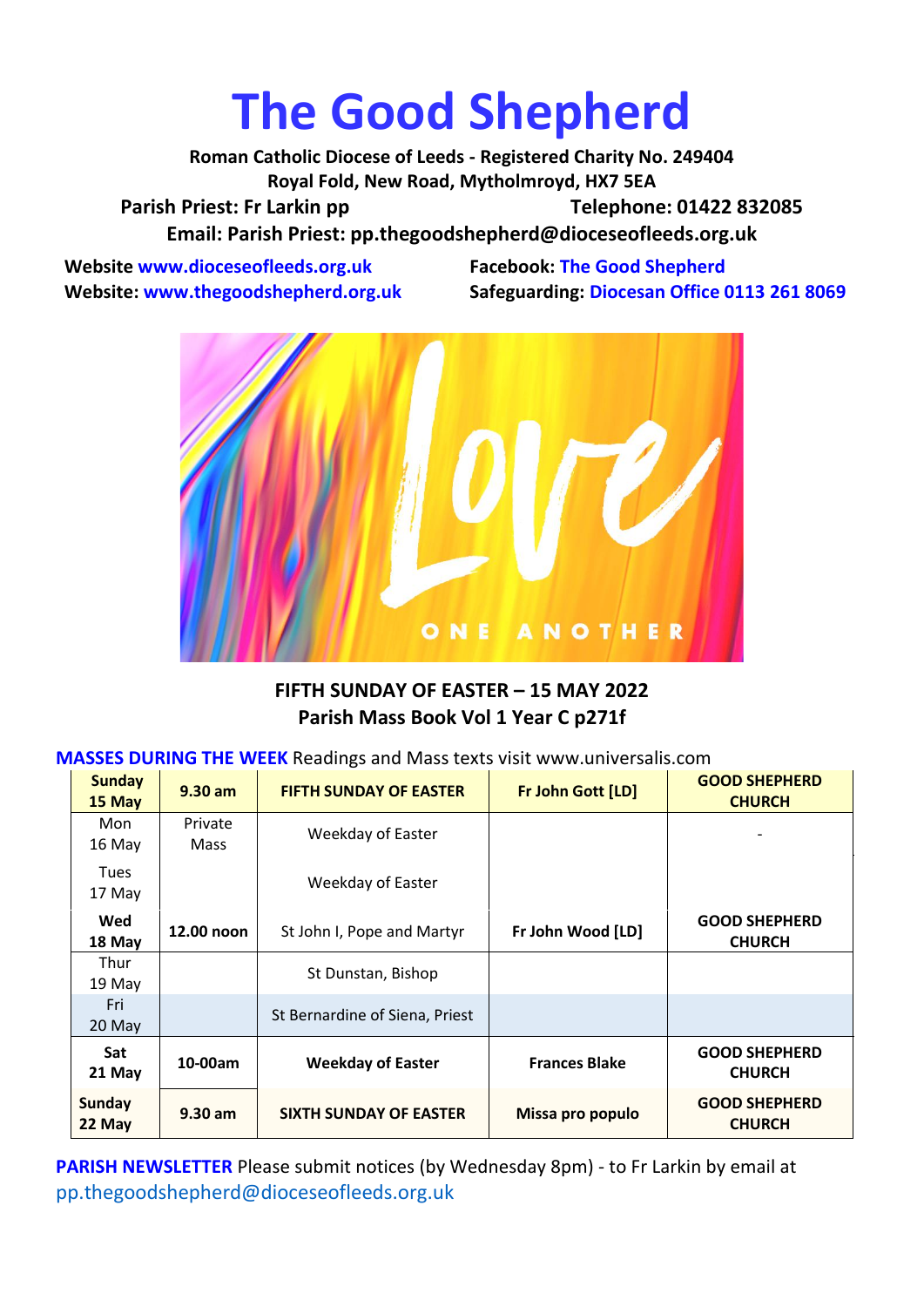## **The Good Shepherd**

**Roman Catholic Diocese of Leeds - Registered Charity No. 249404 Royal Fold, New Road, Mytholmroyd, HX7 5EA** Parish Priest: Fr Larkin pp Telephone: 01422 832085 **Email: Parish Priest: [pp.thegoodshepherd@dioceseofleeds.org.uk](http://Name:%C2%A0pp.thegoodshepherd@dioceseofleeds.org.uk/)**

**Website www.dioceseofleeds.org.uk Facebook: The Good Shepherd**

**Website: www.thegoodshepherd.org.uk Safeguarding: Diocesan Office 0113 261 8069**



## **FIFTH SUNDAY OF EASTER – 15 MAY 2022 Parish Mass Book Vol 1 Year C p271f**

| <b>MASSES DURING THE WEEK</b> Readings and Mass texts visit www.universalis.com |  |
|---------------------------------------------------------------------------------|--|
|---------------------------------------------------------------------------------|--|

| <b>Sunday</b><br>15 May | $9.30$ am       | <b>FIFTH SUNDAY OF EASTER</b>  | Fr John Gott [LD]    | <b>GOOD SHEPHERD</b><br><b>CHURCH</b> |
|-------------------------|-----------------|--------------------------------|----------------------|---------------------------------------|
| Mon<br>16 May           | Private<br>Mass | Weekday of Easter              |                      |                                       |
| <b>Tues</b><br>17 May   |                 | Weekday of Easter              |                      |                                       |
| Wed<br>18 May           | 12.00 noon      | St John I, Pope and Martyr     | Fr John Wood [LD]    | <b>GOOD SHEPHERD</b><br><b>CHURCH</b> |
| Thur<br>19 May          |                 | St Dunstan, Bishop             |                      |                                       |
| Fri<br>20 May           |                 | St Bernardine of Siena, Priest |                      |                                       |
| <b>Sat</b><br>21 May    | 10-00am         | <b>Weekday of Easter</b>       | <b>Frances Blake</b> | <b>GOOD SHEPHERD</b><br><b>CHURCH</b> |
| Sunday<br>22 May        | $9.30$ am       | <b>SIXTH SUNDAY OF EASTER</b>  | Missa pro populo     | <b>GOOD SHEPHERD</b><br><b>CHURCH</b> |

**PARISH NEWSLETTER** Please submit notices (by Wednesday 8pm) - to Fr Larkin by email at pp.thegoodshepherd@dioceseofleeds.org.uk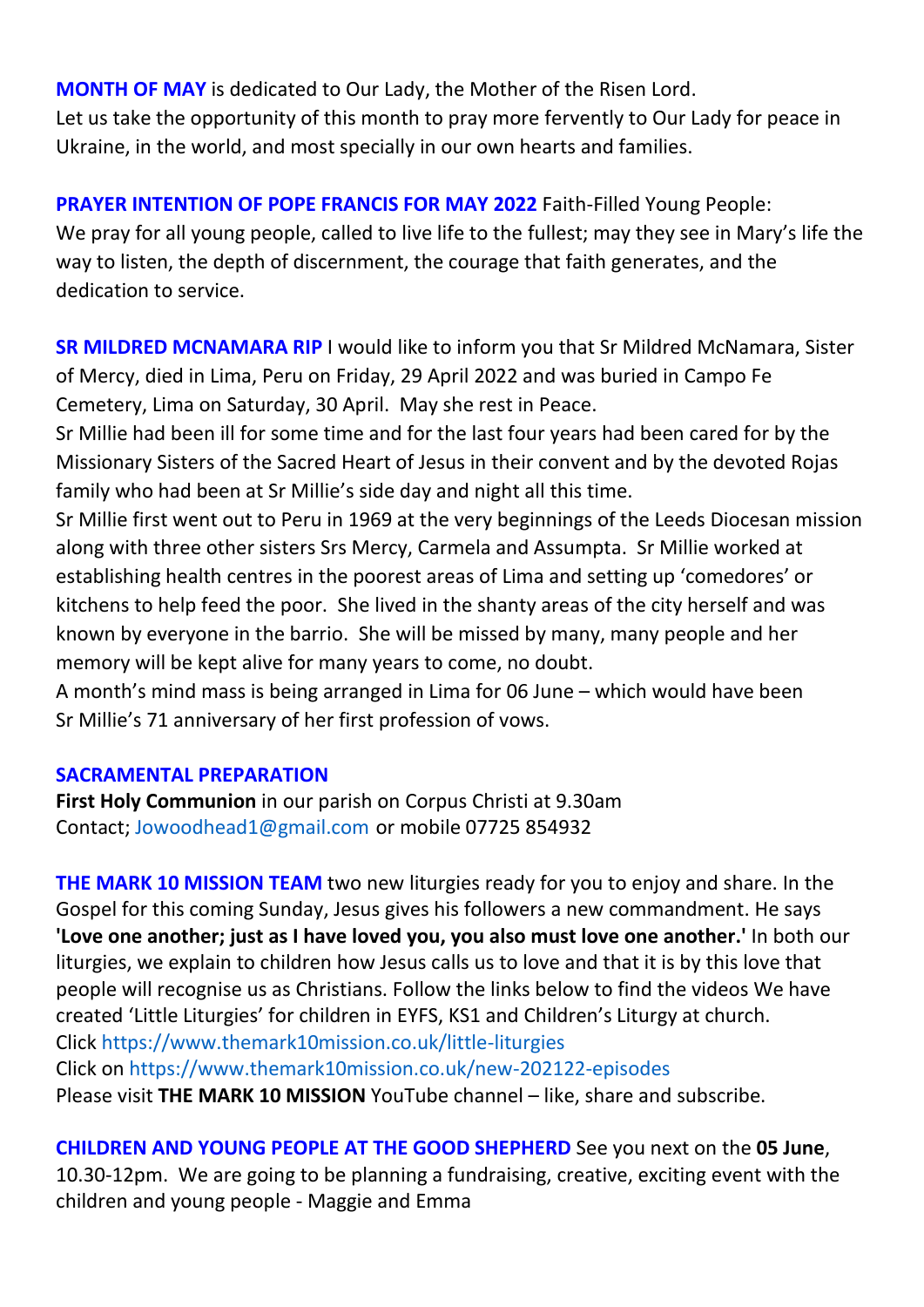**MONTH OF MAY** is dedicated to Our Lady, the Mother of the Risen Lord. Let us take the opportunity of this month to pray more fervently to Our Lady for peace in Ukraine, in the world, and most specially in our own hearts and families.

**PRAYER INTENTION OF POPE FRANCIS FOR MAY 2022** Faith-Filled Young People: We pray for all young people, called to live life to the fullest; may they see in Mary's life the way to listen, the depth of discernment, the courage that faith generates, and the dedication to service.

**SR MILDRED MCNAMARA RIP** I would like to inform you that Sr Mildred McNamara, Sister of Mercy, died in Lima, Peru on Friday, 29 April 2022 and was buried in Campo Fe Cemetery, Lima on Saturday, 30 April. May she rest in Peace.

Sr Millie had been ill for some time and for the last four years had been cared for by the Missionary Sisters of the Sacred Heart of Jesus in their convent and by the devoted Rojas family who had been at Sr Millie's side day and night all this time.

Sr Millie first went out to Peru in 1969 at the very beginnings of the Leeds Diocesan mission along with three other sisters Srs Mercy, Carmela and Assumpta. Sr Millie worked at establishing health centres in the poorest areas of Lima and setting up 'comedores' or kitchens to help feed the poor. She lived in the shanty areas of the city herself and was known by everyone in the barrio. She will be missed by many, many people and her memory will be kept alive for many years to come, no doubt.

A month's mind mass is being arranged in Lima for 06 June – which would have been Sr Millie's 71 anniversary of her first profession of vows.

## **SACRAMENTAL PREPARATION**

**First Holy Communion** in our parish on Corpus Christi at 9.30am Contact; Jowoodhead1@gmail.com or mobile 07725 854932

**THE MARK 10 MISSION TEAM** two new liturgies ready for you to enjoy and share. In the Gospel for this coming Sunday, Jesus gives his followers a new commandment. He says **'Love one another; just as I have loved you, you also must love one another.'** In both our liturgies, we explain to children how Jesus calls us to love and that it is by this love that people will recognise us as Christians. Follow the links below to find the videos We have created 'Little Liturgies' for children in EYFS, KS1 and Children's Liturgy at church. Click <https://www.themark10mission.co.uk/little-liturgies> Click on <https://www.themark10mission.co.uk/new-202122-episodes> Please visit **THE MARK 10 MISSION** YouTube channel – like, share and subscribe.

**CHILDREN AND YOUNG PEOPLE AT THE GOOD SHEPHERD** See you next on the **05 June**, 10.30-12pm. We are going to be planning a fundraising, creative, exciting event with the children and young people - Maggie and Emma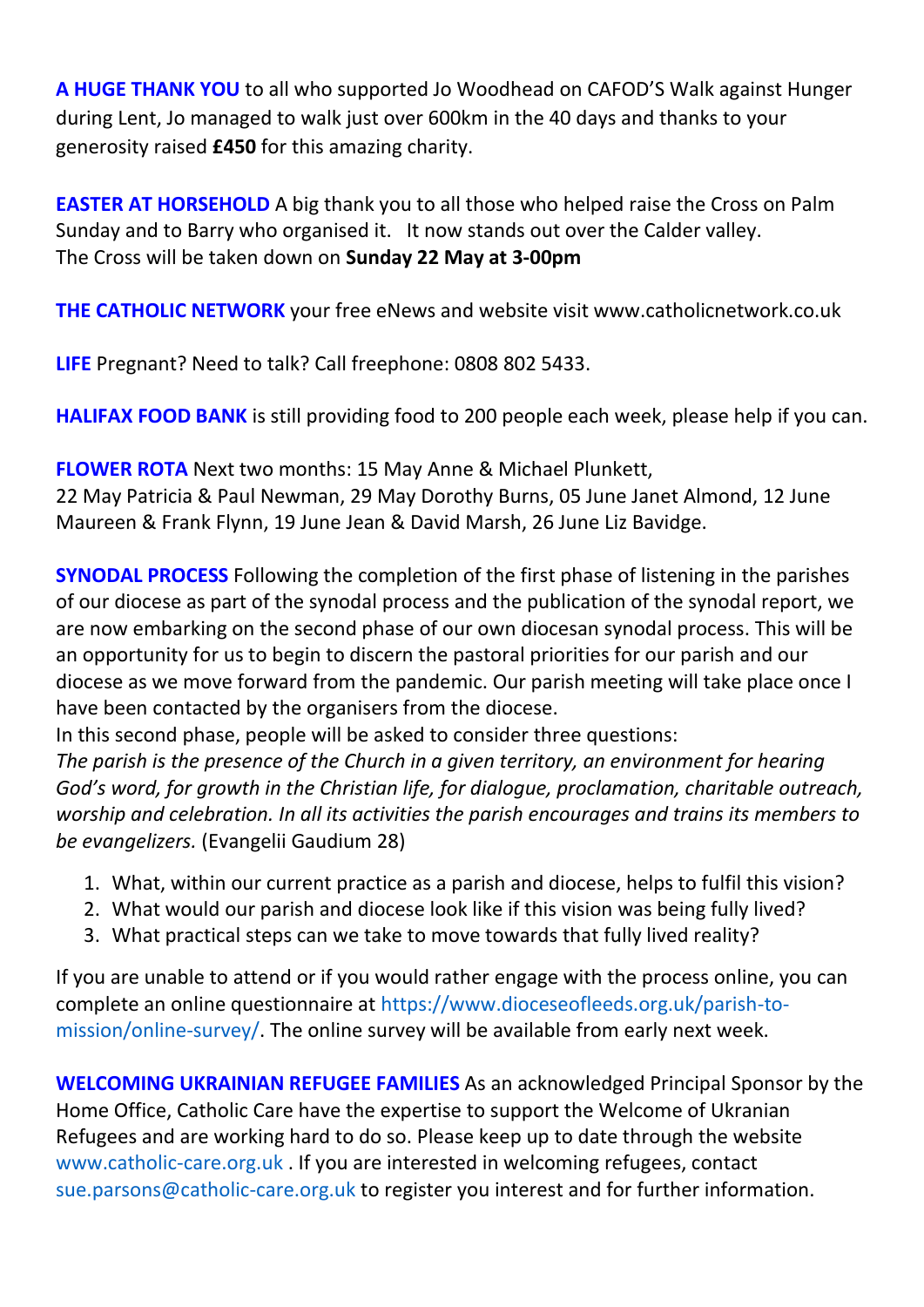**A HUGE THANK YOU** to all who supported Jo Woodhead on CAFOD'S Walk against Hunger during Lent, Jo managed to walk just over 600km in the 40 days and thanks to your generosity raised **£450** for this amazing charity.

**EASTER AT HORSEHOLD** A big thank you to all those who helped raise the Cross on Palm Sunday and to Barry who organised it. It now stands out over the Calder valley. The Cross will be taken down on **Sunday 22 May at 3-00pm**

**THE CATHOLIC NETWORK** your free eNews and website visit www.catholicnetwork.co.uk

**LIFE** Pregnant? Need to talk? Call freephone: 0808 802 5433.

**HALIFAX FOOD BANK** is still providing food to 200 people each week, please help if you can.

**FLOWER ROTA** Next two months: 15 May Anne & Michael Plunkett, 22 May Patricia & Paul Newman, 29 May Dorothy Burns, 05 June Janet Almond, 12 June Maureen & Frank Flynn, 19 June Jean & David Marsh, 26 June Liz Bavidge.

**SYNODAL PROCESS** Following the completion of the first phase of listening in the parishes of our diocese as part of the synodal process and the publication of the synodal report, we are now embarking on the second phase of our own diocesan synodal process. This will be an opportunity for us to begin to discern the pastoral priorities for our parish and our diocese as we move forward from the pandemic. Our parish meeting will take place once I have been contacted by the organisers from the diocese.

In this second phase, people will be asked to consider three questions:

*The parish is the presence of the Church in a given territory, an environment for hearing God's word, for growth in the Christian life, for dialogue, proclamation, charitable outreach, worship and celebration. In all its activities the parish encourages and trains its members to be evangelizers.* (Evangelii Gaudium 28)

- 1. What, within our current practice as a parish and diocese, helps to fulfil this vision?
- 2. What would our parish and diocese look like if this vision was being fully lived?
- 3. What practical steps can we take to move towards that fully lived reality?

If you are unable to attend or if you would rather engage with the process online, you can complete an online questionnaire at [https://www.dioceseofleeds.org.uk/parish-to](https://www.dioceseofleeds.org.uk/parish-to-mission/online-survey/)[mission/online-survey/.](https://www.dioceseofleeds.org.uk/parish-to-mission/online-survey/) The online survey will be available from early next week.

**WELCOMING UKRAINIAN REFUGEE FAMILIES** As an acknowledged Principal Sponsor by the Home Office, Catholic Care have the expertise to support the Welcome of Ukranian Refugees and are working hard to do so. Please keep up to date through the website [www.catholic-care.org.uk](http://www.catholic-care.org.uk/) . If you are interested in welcoming refugees, contact [sue.parsons@catholic-care.org.uk](mailto:sue.parsons@catholic-care.org.uk) to register you interest and for further information.